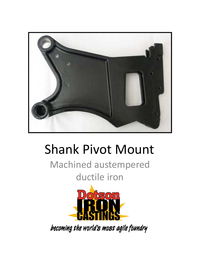

## Shank Pivot Mount

Machined austempered ductile iron



becoming the world's most agile foundry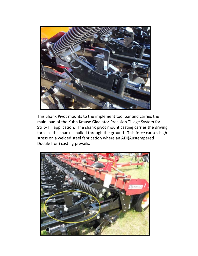

This Shank Pivot mounts to the implement tool bar and carries the main load of the Kuhn Krause Gladiator Precision Tillage System for Strip‐Till application. The shank pivot mount casting carries the driving force as the shank is pulled through the ground. This force causes high stress on a welded steel fabrication where an ADI(Austempered Ductile Iron) casting prevails.

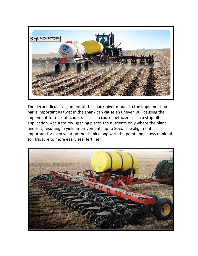

The perpendicular alignment of the shank pivot mount to the implement tool bar is important as twist in the shank can cause an uneven pull causing the implement to track off course. This can cause inefficiencies in a strip till application. Accurate row spacing places the nutrients only where the plant needs it, resulting in yield improvements up to 50%. The alignment is important for even wear on the shank along with the point and allows minimal soil fracture to more easily seal fertilizer.

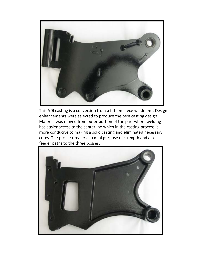

This ADI casting is a conversion from a fifteen piece weldment. Design enhancements were selected to produce the best casting design. Material was moved from outer portion of the part where welding has easier access to the centerline which in the casting process is more conducive to making a solid casting and eliminated necessary cores. The profile ribs serve a dual purpose of strength and also feeder paths to the three bosses.

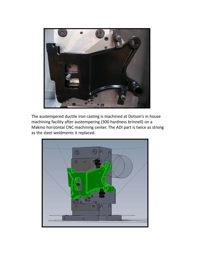

The austempered ductile iron casting is machined at Dotson's in house machining facility after austempering (300 hardness brinnell) on a Makino horizontal CNC machining center. The ADI part is twice as strong as the steel weldments it replaced.

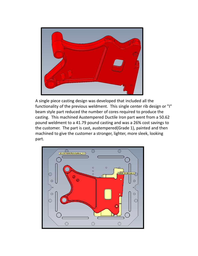

A single piece casting design was developed that included all the functionality of the previous weldment. This single center rib design or "I" beam style part reduced the number of cores required to produce the casting. This machined Austempered Ductile Iron part went from a 50.62 pound weldment to a 41.79 pound casting and was a 26% cost savings to the customer. The part is cast, austempered(Grade 1), painted and then machined to give the customer a stronger, lighter, more sleek, looking part.

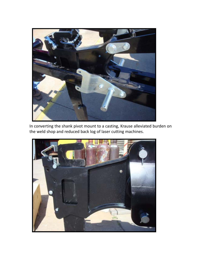

In converting the shank pivot mount to a casting, Krause alleviated burden on the weld shop and reduced back log of laser cutting machines.

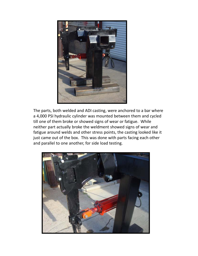

The parts, both welded and ADI casting, were anchored to a bar where a 4,000 PSI hydraulic cylinder was mounted between them and cycled till one of them broke or showed signs of wear or fatigue. While neither part actually broke the weldment showed signs of wear and fatigue around welds and other stress points, the casting looked like it just came out of the box. This was done with parts facing each other and parallel to one another, for side load testing.

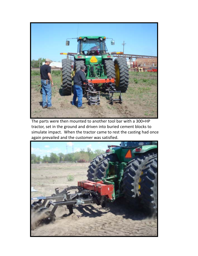

The parts were then mounted to another tool bar with a 300+HP tractor, set in the ground and driven into buried cement blocks to simulate impact. When the tractor came to rest the casting had once again prevailed and the customer was satisfied.